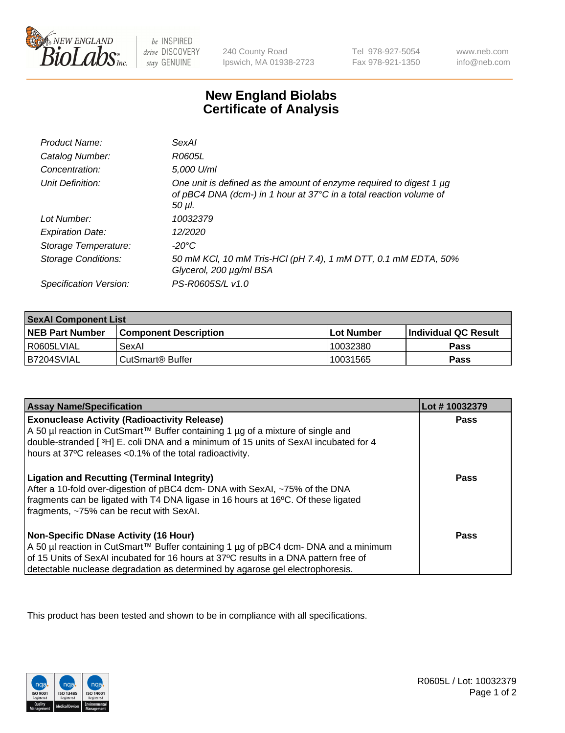

 $be$  INSPIRED drive DISCOVERY stay GENUINE

240 County Road Ipswich, MA 01938-2723 Tel 978-927-5054 Fax 978-921-1350 www.neb.com info@neb.com

## **New England Biolabs Certificate of Analysis**

| Product Name:              | SexAI                                                                                                                                               |
|----------------------------|-----------------------------------------------------------------------------------------------------------------------------------------------------|
| Catalog Number:            | R0605L                                                                                                                                              |
| Concentration:             | 5,000 U/ml                                                                                                                                          |
| Unit Definition:           | One unit is defined as the amount of enzyme required to digest 1 µg<br>of pBC4 DNA (dcm-) in 1 hour at 37°C in a total reaction volume of<br>50 µl. |
| Lot Number:                | 10032379                                                                                                                                            |
| <b>Expiration Date:</b>    | 12/2020                                                                                                                                             |
| Storage Temperature:       | -20°C                                                                                                                                               |
| <b>Storage Conditions:</b> | 50 mM KCl, 10 mM Tris-HCl (pH 7.4), 1 mM DTT, 0.1 mM EDTA, 50%<br>Glycerol, 200 µg/ml BSA                                                           |
| Specification Version:     | PS-R0605S/L v1.0                                                                                                                                    |

| <b>SexAl Component List</b> |                              |            |                             |  |
|-----------------------------|------------------------------|------------|-----------------------------|--|
| <b>NEB Part Number</b>      | <b>Component Description</b> | Lot Number | <b>Individual QC Result</b> |  |
| I R0605LVIAL                | SexAl                        | 10032380   | Pass                        |  |
| IB7204SVIAL                 | CutSmart® Buffer             | 10031565   | <b>Pass</b>                 |  |

| <b>Assay Name/Specification</b>                                                                                                                                                                                                                                                                         | Lot #10032379 |
|---------------------------------------------------------------------------------------------------------------------------------------------------------------------------------------------------------------------------------------------------------------------------------------------------------|---------------|
| <b>Exonuclease Activity (Radioactivity Release)</b><br>A 50 µl reaction in CutSmart™ Buffer containing 1 µg of a mixture of single and<br>double-stranded [3H] E. coli DNA and a minimum of 15 units of SexAI incubated for 4<br>hours at 37°C releases <0.1% of the total radioactivity.               | <b>Pass</b>   |
| <b>Ligation and Recutting (Terminal Integrity)</b><br>After a 10-fold over-digestion of pBC4 dcm- DNA with SexAI, ~75% of the DNA<br>fragments can be ligated with T4 DNA ligase in 16 hours at 16°C. Of these ligated<br>fragments, ~75% can be recut with SexAI.                                      | Pass          |
| Non-Specific DNase Activity (16 Hour)<br>  A 50 µl reaction in CutSmart™ Buffer containing 1 µg of pBC4 dcm- DNA and a minimum<br>of 15 Units of SexAI incubated for 16 hours at 37°C results in a DNA pattern free of<br>detectable nuclease degradation as determined by agarose gel electrophoresis. | Pass          |

This product has been tested and shown to be in compliance with all specifications.